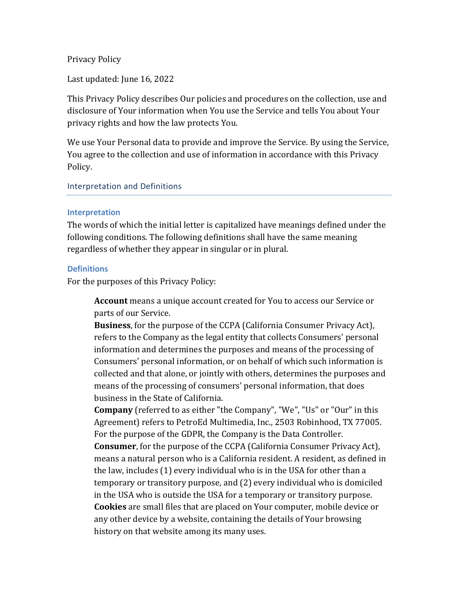Privacy Policy

Last updated: June 16, 2022

This Privacy Policy describes Our policies and procedures on the collection, use and disclosure of Your information when You use the Service and tells You about Your privacy rights and how the law protects You.

We use Your Personal data to provide and improve the Service. By using the Service, You agree to the collection and use of information in accordance with this Privacy Policy.

Interpretation and Definitions

#### **Interpretation**

The words of which the initial letter is capitalized have meanings defined under the following conditions. The following definitions shall have the same meaning regardless of whether they appear in singular or in plural.

#### **Definitions**

For the purposes of this Privacy Policy:

**Account** means a unique account created for You to access our Service or parts of our Service.

**Business**, for the purpose of the CCPA (California Consumer Privacy Act), refers to the Company as the legal entity that collects Consumers' personal information and determines the purposes and means of the processing of Consumers' personal information, or on behalf of which such information is collected and that alone, or jointly with others, determines the purposes and means of the processing of consumers' personal information, that does business in the State of California.

**Company** (referred to as either "the Company", "We", "Us" or "Our" in this Agreement) refers to PetroEd Multimedia, Inc., 2503 Robinhood, TX 77005. For the purpose of the GDPR, the Company is the Data Controller.

**Consumer**, for the purpose of the CCPA (California Consumer Privacy Act), means a natural person who is a California resident. A resident, as defined in the law, includes (1) every individual who is in the USA for other than a temporary or transitory purpose, and (2) every individual who is domiciled in the USA who is outside the USA for a temporary or transitory purpose. **Cookies** are small files that are placed on Your computer, mobile device or any other device by a website, containing the details of Your browsing history on that website among its many uses.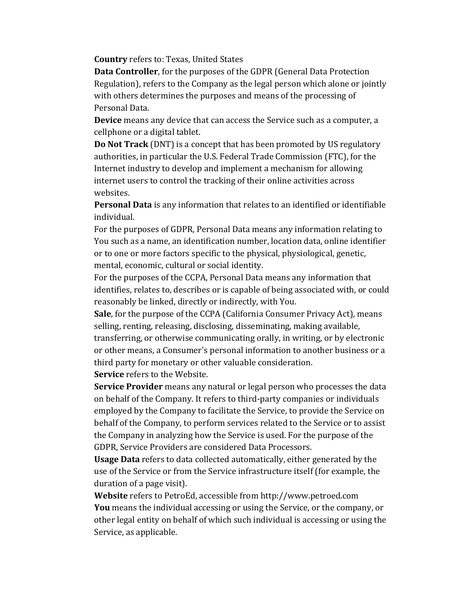**Country** refers to: Texas, United States

**Data Controller**, for the purposes of the GDPR (General Data Protection Regulation), refers to the Company as the legal person which alone or jointly with others determines the purposes and means of the processing of Personal Data.

**Device** means any device that can access the Service such as a computer, a cellphone or a digital tablet.

**Do Not Track** (DNT) is a concept that has been promoted by US regulatory authorities, in particular the U.S. Federal Trade Commission (FTC), for the Internet industry to develop and implement a mechanism for allowing internet users to control the tracking of their online activities across websites.

**Personal Data** is any information that relates to an identified or identifiable individual.

For the purposes of GDPR, Personal Data means any information relating to You such as a name, an identification number, location data, online identifier or to one or more factors specific to the physical, physiological, genetic, mental, economic, cultural or social identity.

For the purposes of the CCPA, Personal Data means any information that identifies, relates to, describes or is capable of being associated with, or could reasonably be linked, directly or indirectly, with You.

**Sale**, for the purpose of the CCPA (California Consumer Privacy Act), means selling, renting, releasing, disclosing, disseminating, making available, transferring, or otherwise communicating orally, in writing, or by electronic or other means, a Consumer's personal information to another business or a third party for monetary or other valuable consideration. **Service** refers to the Website.

**Service Provider** means any natural or legal person who processes the data on behalf of the Company. It refers to third-party companies or individuals employed by the Company to facilitate the Service, to provide the Service on behalf of the Company, to perform services related to the Service or to assist the Company in analyzing how the Service is used. For the purpose of the GDPR, Service Providers are considered Data Processors.

**Usage Data** refers to data collected automatically, either generated by the use of the Service or from the Service infrastructure itself (for example, the duration of a page visit).

**Website** refers to PetroEd, accessible from [http://www.petroed.com](http://www.petroed.com/) **You** means the individual accessing or using the Service, or the company, or other legal entity on behalf of which such individual is accessing or using the Service, as applicable.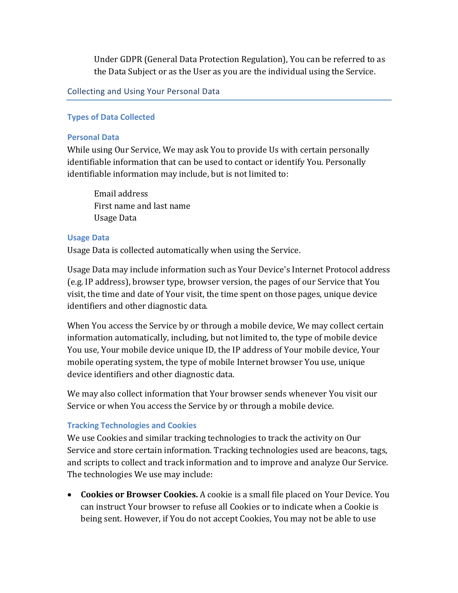Under GDPR (General Data Protection Regulation), You can be referred to as the Data Subject or as the User as you are the individual using the Service.

Collecting and Using Your Personal Data

### **Types of Data Collected**

#### **Personal Data**

While using Our Service, We may ask You to provide Us with certain personally identifiable information that can be used to contact or identify You. Personally identifiable information may include, but is not limited to:

Email address First name and last name Usage Data

#### **Usage Data**

Usage Data is collected automatically when using the Service.

Usage Data may include information such as Your Device's Internet Protocol address (e.g. IP address), browser type, browser version, the pages of our Service that You visit, the time and date of Your visit, the time spent on those pages, unique device identifiers and other diagnostic data.

When You access the Service by or through a mobile device, We may collect certain information automatically, including, but not limited to, the type of mobile device You use, Your mobile device unique ID, the IP address of Your mobile device, Your mobile operating system, the type of mobile Internet browser You use, unique device identifiers and other diagnostic data.

We may also collect information that Your browser sends whenever You visit our Service or when You access the Service by or through a mobile device.

## **Tracking Technologies and Cookies**

We use Cookies and similar tracking technologies to track the activity on Our Service and store certain information. Tracking technologies used are beacons, tags, and scripts to collect and track information and to improve and analyze Our Service. The technologies We use may include:

• **Cookies or Browser Cookies.** A cookie is a small file placed on Your Device. You can instruct Your browser to refuse all Cookies or to indicate when a Cookie is being sent. However, if You do not accept Cookies, You may not be able to use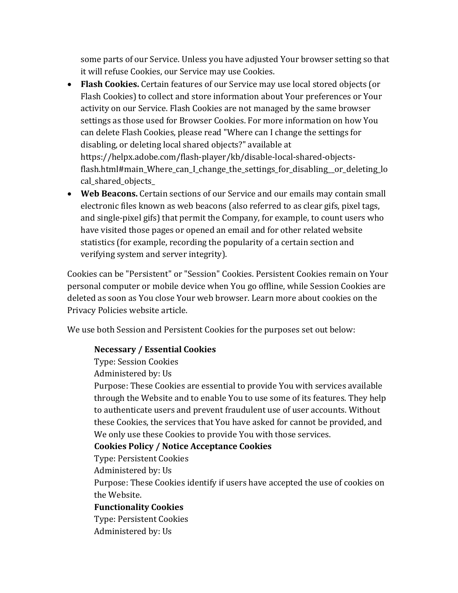some parts of our Service. Unless you have adjusted Your browser setting so that it will refuse Cookies, our Service may use Cookies.

- **Flash Cookies.** Certain features of our Service may use local stored objects (or Flash Cookies) to collect and store information about Your preferences or Your activity on our Service. Flash Cookies are not managed by the same browser settings as those used for Browser Cookies. For more information on how You can delete Flash Cookies, please read "Where can I change the settings for disabling, or deleting local shared objects?" available at [https://helpx.adobe.com/flash-player/kb/disable-local-shared-objects](https://helpx.adobe.com/flash-player/kb/disable-local-shared-objects-flash.html#main_Where_can_I_change_the_settings_for_disabling__or_deleting_local_shared_objects_)[flash.html#main\\_Where\\_can\\_I\\_change\\_the\\_settings\\_for\\_disabling\\_\\_or\\_deleting\\_lo](https://helpx.adobe.com/flash-player/kb/disable-local-shared-objects-flash.html#main_Where_can_I_change_the_settings_for_disabling__or_deleting_local_shared_objects_) cal shared objects
- **Web Beacons.** Certain sections of our Service and our emails may contain small electronic files known as web beacons (also referred to as clear gifs, pixel tags, and single-pixel gifs) that permit the Company, for example, to count users who have visited those pages or opened an email and for other related website statistics (for example, recording the popularity of a certain section and verifying system and server integrity).

Cookies can be "Persistent" or "Session" Cookies. Persistent Cookies remain on Your personal computer or mobile device when You go offline, while Session Cookies are deleted as soon as You close Your web browser. Learn more about cookies on the [Privacy Policies website](https://www.privacypolicies.com/blog/privacy-policy-template/#Use_Of_Cookies_Log_Files_And_Tracking) article.

We use both Session and Persistent Cookies for the purposes set out below:

## **Necessary / Essential Cookies**

Type: Session Cookies

Administered by: Us

Purpose: These Cookies are essential to provide You with services available through the Website and to enable You to use some of its features. They help to authenticate users and prevent fraudulent use of user accounts. Without these Cookies, the services that You have asked for cannot be provided, and We only use these Cookies to provide You with those services.

## **Cookies Policy / Notice Acceptance Cookies**

Type: Persistent Cookies

Administered by: Us

Purpose: These Cookies identify if users have accepted the use of cookies on the Website.

## **Functionality Cookies**

Type: Persistent Cookies Administered by: Us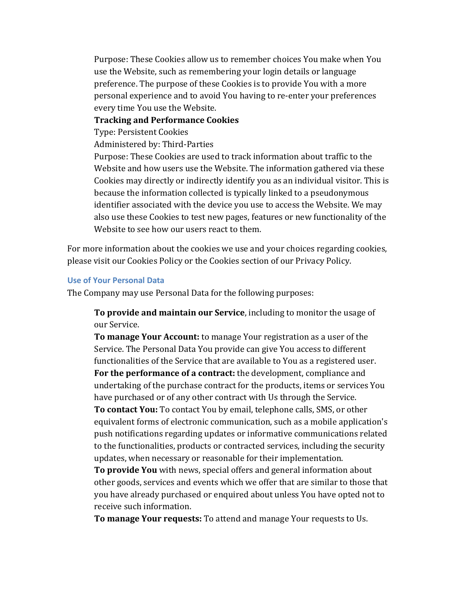Purpose: These Cookies allow us to remember choices You make when You use the Website, such as remembering your login details or language preference. The purpose of these Cookies is to provide You with a more personal experience and to avoid You having to re-enter your preferences every time You use the Website.

### **Tracking and Performance Cookies**

Type: Persistent Cookies

Administered by: Third-Parties

Purpose: These Cookies are used to track information about traffic to the Website and how users use the Website. The information gathered via these Cookies may directly or indirectly identify you as an individual visitor. This is because the information collected is typically linked to a pseudonymous identifier associated with the device you use to access the Website. We may also use these Cookies to test new pages, features or new functionality of the Website to see how our users react to them.

For more information about the cookies we use and your choices regarding cookies, please visit our Cookies Policy or the Cookies section of our Privacy Policy.

#### **Use of Your Personal Data**

The Company may use Personal Data for the following purposes:

**To provide and maintain our Service**, including to monitor the usage of our Service.

**To manage Your Account:** to manage Your registration as a user of the Service. The Personal Data You provide can give You access to different functionalities of the Service that are available to You as a registered user. **For the performance of a contract:** the development, compliance and undertaking of the purchase contract for the products, items or services You have purchased or of any other contract with Us through the Service. **To contact You:** To contact You by email, telephone calls, SMS, or other equivalent forms of electronic communication, such as a mobile application's push notifications regarding updates or informative communications related to the functionalities, products or contracted services, including the security updates, when necessary or reasonable for their implementation.

**To provide You** with news, special offers and general information about other goods, services and events which we offer that are similar to those that you have already purchased or enquired about unless You have opted not to receive such information.

**To manage Your requests:** To attend and manage Your requests to Us.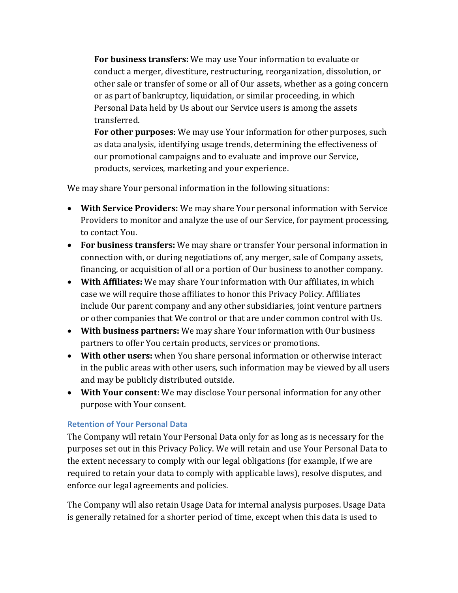**For business transfers:** We may use Your information to evaluate or conduct a merger, divestiture, restructuring, reorganization, dissolution, or other sale or transfer of some or all of Our assets, whether as a going concern or as part of bankruptcy, liquidation, or similar proceeding, in which Personal Data held by Us about our Service users is among the assets transferred.

**For other purposes**: We may use Your information for other purposes, such as data analysis, identifying usage trends, determining the effectiveness of our promotional campaigns and to evaluate and improve our Service, products, services, marketing and your experience.

We may share Your personal information in the following situations:

- **With Service Providers:** We may share Your personal information with Service Providers to monitor and analyze the use of our Service, for payment processing, to contact You.
- **For business transfers:** We may share or transfer Your personal information in connection with, or during negotiations of, any merger, sale of Company assets, financing, or acquisition of all or a portion of Our business to another company.
- **With Affiliates:** We may share Your information with Our affiliates, in which case we will require those affiliates to honor this Privacy Policy. Affiliates include Our parent company and any other subsidiaries, joint venture partners or other companies that We control or that are under common control with Us.
- **With business partners:** We may share Your information with Our business partners to offer You certain products, services or promotions.
- **With other users:** when You share personal information or otherwise interact in the public areas with other users, such information may be viewed by all users and may be publicly distributed outside.
- **With Your consent**: We may disclose Your personal information for any other purpose with Your consent.

## **Retention of Your Personal Data**

The Company will retain Your Personal Data only for as long as is necessary for the purposes set out in this Privacy Policy. We will retain and use Your Personal Data to the extent necessary to comply with our legal obligations (for example, if we are required to retain your data to comply with applicable laws), resolve disputes, and enforce our legal agreements and policies.

The Company will also retain Usage Data for internal analysis purposes. Usage Data is generally retained for a shorter period of time, except when this data is used to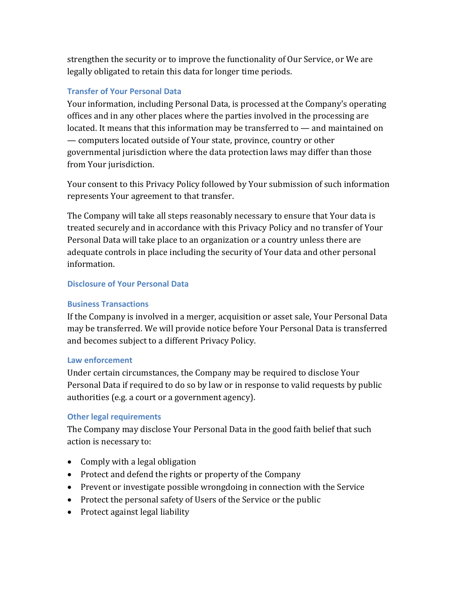strengthen the security or to improve the functionality of Our Service, or We are legally obligated to retain this data for longer time periods.

## **Transfer of Your Personal Data**

Your information, including Personal Data, is processed at the Company's operating offices and in any other places where the parties involved in the processing are located. It means that this information may be transferred to — and maintained on — computers located outside of Your state, province, country or other governmental jurisdiction where the data protection laws may differ than those from Your jurisdiction.

Your consent to this Privacy Policy followed by Your submission of such information represents Your agreement to that transfer.

The Company will take all steps reasonably necessary to ensure that Your data is treated securely and in accordance with this Privacy Policy and no transfer of Your Personal Data will take place to an organization or a country unless there are adequate controls in place including the security of Your data and other personal information.

## **Disclosure of Your Personal Data**

## **Business Transactions**

If the Company is involved in a merger, acquisition or asset sale, Your Personal Data may be transferred. We will provide notice before Your Personal Data is transferred and becomes subject to a different Privacy Policy.

## **Law enforcement**

Under certain circumstances, the Company may be required to disclose Your Personal Data if required to do so by law or in response to valid requests by public authorities (e.g. a court or a government agency).

## **Other legal requirements**

The Company may disclose Your Personal Data in the good faith belief that such action is necessary to:

- Comply with a legal obligation
- Protect and defend the rights or property of the Company
- Prevent or investigate possible wrongdoing in connection with the Service
- Protect the personal safety of Users of the Service or the public
- Protect against legal liability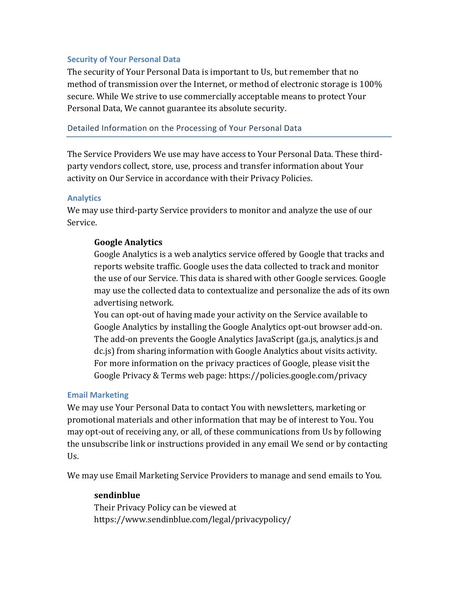#### **Security of Your Personal Data**

The security of Your Personal Data is important to Us, but remember that no method of transmission over the Internet, or method of electronic storage is 100% secure. While We strive to use commercially acceptable means to protect Your Personal Data, We cannot guarantee its absolute security.

#### Detailed Information on the Processing of Your Personal Data

The Service Providers We use may have access to Your Personal Data. These thirdparty vendors collect, store, use, process and transfer information about Your activity on Our Service in accordance with their Privacy Policies.

#### **Analytics**

We may use third-party Service providers to monitor and analyze the use of our Service.

## **Google Analytics**

Google Analytics is a web analytics service offered by Google that tracks and reports website traffic. Google uses the data collected to track and monitor the use of our Service. This data is shared with other Google services. Google may use the collected data to contextualize and personalize the ads of its own advertising network.

You can opt-out of having made your activity on the Service available to Google Analytics by installing the Google Analytics opt-out browser add-on. The add-on prevents the Google Analytics JavaScript (ga.js, analytics.js and dc.js) from sharing information with Google Analytics about visits activity. For more information on the privacy practices of Google, please visit the Google Privacy & Terms web page:<https://policies.google.com/privacy>

#### **Email Marketing**

We may use Your Personal Data to contact You with newsletters, marketing or promotional materials and other information that may be of interest to You. You may opt-out of receiving any, or all, of these communications from Us by following the unsubscribe link or instructions provided in any email We send or by contacting Us.

We may use Email Marketing Service Providers to manage and send emails to You.

## **sendinblue**

Their Privacy Policy can be viewed at <https://www.sendinblue.com/legal/privacypolicy/>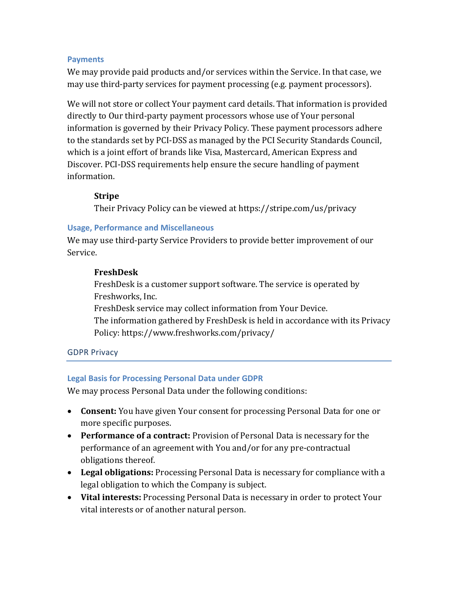#### **Payments**

We may provide paid products and/or services within the Service. In that case, we may use third-party services for payment processing (e.g. payment processors).

We will not store or collect Your payment card details. That information is provided directly to Our third-party payment processors whose use of Your personal information is governed by their Privacy Policy. These payment processors adhere to the standards set by PCI-DSS as managed by the PCI Security Standards Council, which is a joint effort of brands like Visa, Mastercard, American Express and Discover. PCI-DSS requirements help ensure the secure handling of payment information.

## **Stripe**

Their Privacy Policy can be viewed at<https://stripe.com/us/privacy>

## **Usage, Performance and Miscellaneous**

We may use third-party Service Providers to provide better improvement of our Service.

## **FreshDesk**

FreshDesk is a customer support software. The service is operated by Freshworks, Inc.

FreshDesk service may collect information from Your Device. The information gathered by FreshDesk is held in accordance with its Privacy Policy:<https://www.freshworks.com/privacy/>

## GDPR Privacy

## **Legal Basis for Processing Personal Data under GDPR**

We may process Personal Data under the following conditions:

- **Consent:** You have given Your consent for processing Personal Data for one or more specific purposes.
- **Performance of a contract:** Provision of Personal Data is necessary for the performance of an agreement with You and/or for any pre-contractual obligations thereof.
- **Legal obligations:** Processing Personal Data is necessary for compliance with a legal obligation to which the Company is subject.
- **Vital interests:** Processing Personal Data is necessary in order to protect Your vital interests or of another natural person.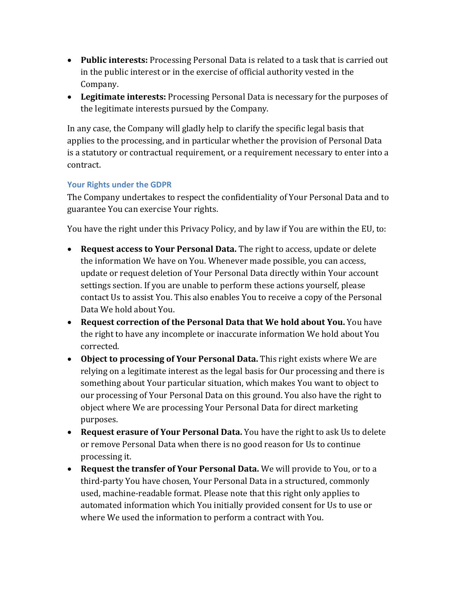- **Public interests:** Processing Personal Data is related to a task that is carried out in the public interest or in the exercise of official authority vested in the Company.
- **Legitimate interests:** Processing Personal Data is necessary for the purposes of the legitimate interests pursued by the Company.

In any case, the Company will gladly help to clarify the specific legal basis that applies to the processing, and in particular whether the provision of Personal Data is a statutory or contractual requirement, or a requirement necessary to enter into a contract.

## **Your Rights under the GDPR**

The Company undertakes to respect the confidentiality of Your Personal Data and to guarantee You can exercise Your rights.

You have the right under this Privacy Policy, and by law if You are within the EU, to:

- **Request access to Your Personal Data.** The right to access, update or delete the information We have on You. Whenever made possible, you can access, update or request deletion of Your Personal Data directly within Your account settings section. If you are unable to perform these actions yourself, please contact Us to assist You. This also enables You to receive a copy of the Personal Data We hold about You.
- **Request correction of the Personal Data that We hold about You.** You have the right to have any incomplete or inaccurate information We hold about You corrected.
- **Object to processing of Your Personal Data.** This right exists where We are relying on a legitimate interest as the legal basis for Our processing and there is something about Your particular situation, which makes You want to object to our processing of Your Personal Data on this ground. You also have the right to object where We are processing Your Personal Data for direct marketing purposes.
- **Request erasure of Your Personal Data.** You have the right to ask Us to delete or remove Personal Data when there is no good reason for Us to continue processing it.
- **Request the transfer of Your Personal Data.** We will provide to You, or to a third-party You have chosen, Your Personal Data in a structured, commonly used, machine-readable format. Please note that this right only applies to automated information which You initially provided consent for Us to use or where We used the information to perform a contract with You.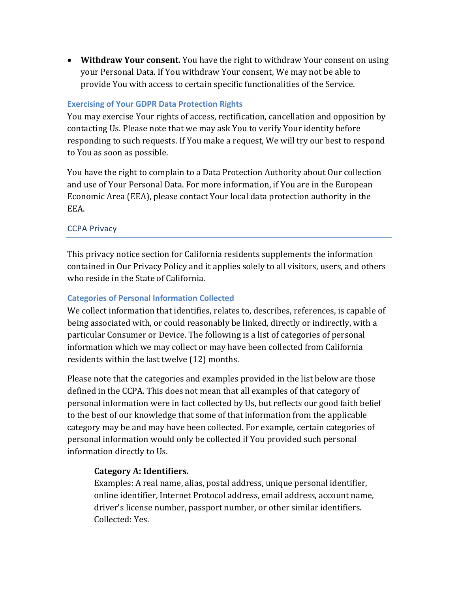• **Withdraw Your consent.** You have the right to withdraw Your consent on using your Personal Data. If You withdraw Your consent, We may not be able to provide You with access to certain specific functionalities of the Service.

#### **Exercising of Your GDPR Data Protection Rights**

You may exercise Your rights of access, rectification, cancellation and opposition by contacting Us. Please note that we may ask You to verify Your identity before responding to such requests. If You make a request, We will try our best to respond to You as soon as possible.

You have the right to complain to a Data Protection Authority about Our collection and use of Your Personal Data. For more information, if You are in the European Economic Area (EEA), please contact Your local data protection authority in the EEA.

#### CCPA Privacy

This privacy notice section for California residents supplements the information contained in Our Privacy Policy and it applies solely to all visitors, users, and others who reside in the State of California.

## **Categories of Personal Information Collected**

We collect information that identifies, relates to, describes, references, is capable of being associated with, or could reasonably be linked, directly or indirectly, with a particular Consumer or Device. The following is a list of categories of personal information which we may collect or may have been collected from California residents within the last twelve (12) months.

Please note that the categories and examples provided in the list below are those defined in the CCPA. This does not mean that all examples of that category of personal information were in fact collected by Us, but reflects our good faith belief to the best of our knowledge that some of that information from the applicable category may be and may have been collected. For example, certain categories of personal information would only be collected if You provided such personal information directly to Us.

## **Category A: Identifiers.**

Examples: A real name, alias, postal address, unique personal identifier, online identifier, Internet Protocol address, email address, account name, driver's license number, passport number, or other similar identifiers. Collected: Yes.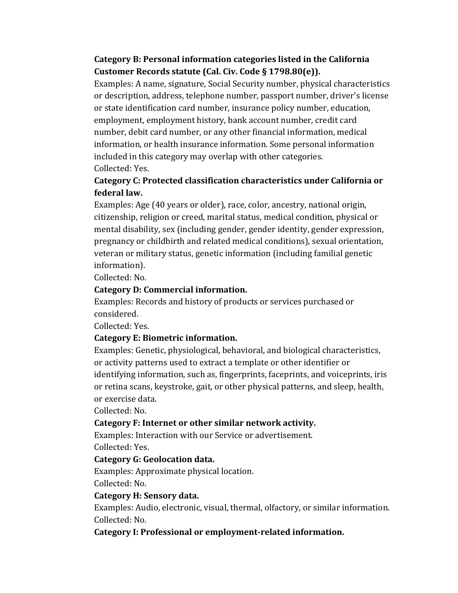# **Category B: Personal information categories listed in the California Customer Records statute (Cal. Civ. Code § 1798.80(e)).**

Examples: A name, signature, Social Security number, physical characteristics or description, address, telephone number, passport number, driver's license or state identification card number, insurance policy number, education, employment, employment history, bank account number, credit card number, debit card number, or any other financial information, medical information, or health insurance information. Some personal information included in this category may overlap with other categories. Collected: Yes.

# **Category C: Protected classification characteristics under California or federal law.**

Examples: Age (40 years or older), race, color, ancestry, national origin, citizenship, religion or creed, marital status, medical condition, physical or mental disability, sex (including gender, gender identity, gender expression, pregnancy or childbirth and related medical conditions), sexual orientation, veteran or military status, genetic information (including familial genetic information).

Collected: No.

# **Category D: Commercial information.**

Examples: Records and history of products or services purchased or considered.

Collected: Yes.

## **Category E: Biometric information.**

Examples: Genetic, physiological, behavioral, and biological characteristics, or activity patterns used to extract a template or other identifier or identifying information, such as, fingerprints, faceprints, and voiceprints, iris or retina scans, keystroke, gait, or other physical patterns, and sleep, health, or exercise data.

Collected: No.

# **Category F: Internet or other similar network activity.**

Examples: Interaction with our Service or advertisement.

Collected: Yes.

# **Category G: Geolocation data.**

Examples: Approximate physical location.

Collected: No.

## **Category H: Sensory data.**

Examples: Audio, electronic, visual, thermal, olfactory, or similar information. Collected: No.

# **Category I: Professional or employment-related information.**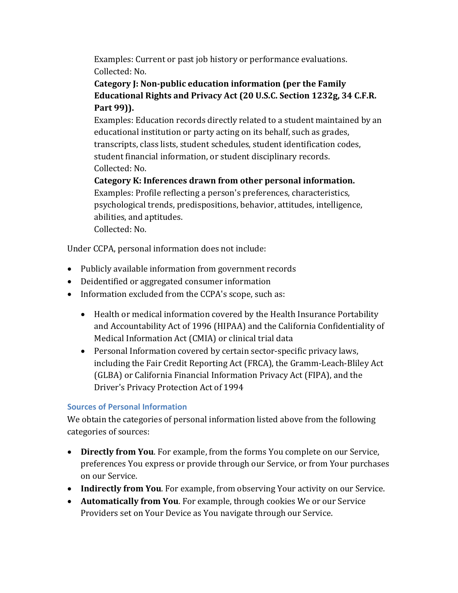Examples: Current or past job history or performance evaluations. Collected: No.

# **Category J: Non-public education information (per the Family Educational Rights and Privacy Act (20 U.S.C. Section 1232g, 34 C.F.R. Part 99)).**

Examples: Education records directly related to a student maintained by an educational institution or party acting on its behalf, such as grades, transcripts, class lists, student schedules, student identification codes, student financial information, or student disciplinary records. Collected: No.

**Category K: Inferences drawn from other personal information.** Examples: Profile reflecting a person's preferences, characteristics, psychological trends, predispositions, behavior, attitudes, intelligence, abilities, and aptitudes. Collected: No.

Under CCPA, personal information does not include:

- Publicly available information from government records
- Deidentified or aggregated consumer information
- Information excluded from the CCPA's scope, such as:
	- Health or medical information covered by the Health Insurance Portability and Accountability Act of 1996 (HIPAA) and the California Confidentiality of Medical Information Act (CMIA) or clinical trial data
	- Personal Information covered by certain sector-specific privacy laws, including the Fair Credit Reporting Act (FRCA), the Gramm-Leach-Bliley Act (GLBA) or California Financial Information Privacy Act (FIPA), and the Driver's Privacy Protection Act of 1994

# **Sources of Personal Information**

We obtain the categories of personal information listed above from the following categories of sources:

- **Directly from You**. For example, from the forms You complete on our Service, preferences You express or provide through our Service, or from Your purchases on our Service.
- **Indirectly from You**. For example, from observing Your activity on our Service.
- **Automatically from You**. For example, through cookies We or our Service Providers set on Your Device as You navigate through our Service.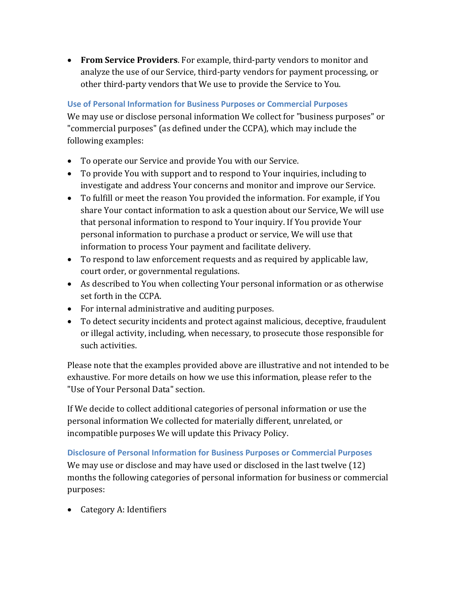• **From Service Providers**. For example, third-party vendors to monitor and analyze the use of our Service, third-party vendors for payment processing, or other third-party vendors that We use to provide the Service to You.

## **Use of Personal Information for Business Purposes or Commercial Purposes**

We may use or disclose personal information We collect for "business purposes" or "commercial purposes" (as defined under the CCPA), which may include the following examples:

- To operate our Service and provide You with our Service.
- To provide You with support and to respond to Your inquiries, including to investigate and address Your concerns and monitor and improve our Service.
- To fulfill or meet the reason You provided the information. For example, if You share Your contact information to ask a question about our Service, We will use that personal information to respond to Your inquiry. If You provide Your personal information to purchase a product or service, We will use that information to process Your payment and facilitate delivery.
- To respond to law enforcement requests and as required by applicable law, court order, or governmental regulations.
- As described to You when collecting Your personal information or as otherwise set forth in the CCPA.
- For internal administrative and auditing purposes.
- To detect security incidents and protect against malicious, deceptive, fraudulent or illegal activity, including, when necessary, to prosecute those responsible for such activities.

Please note that the examples provided above are illustrative and not intended to be exhaustive. For more details on how we use this information, please refer to the "Use of Your Personal Data" section.

If We decide to collect additional categories of personal information or use the personal information We collected for materially different, unrelated, or incompatible purposes We will update this Privacy Policy.

# **Disclosure of Personal Information for Business Purposes or Commercial Purposes** We may use or disclose and may have used or disclosed in the last twelve (12) months the following categories of personal information for business or commercial purposes:

• Category A: Identifiers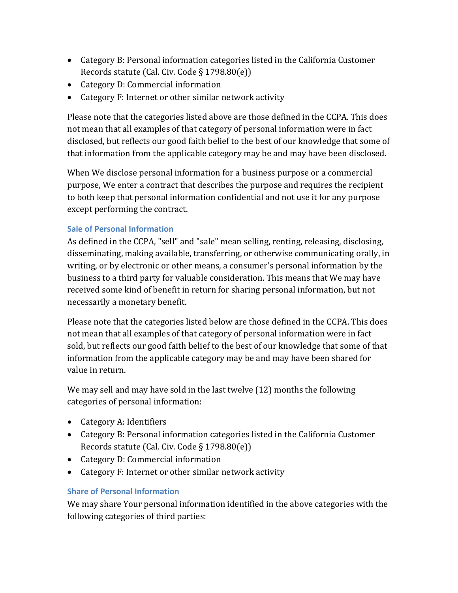- Category B: Personal information categories listed in the California Customer Records statute (Cal. Civ. Code § 1798.80(e))
- Category D: Commercial information
- Category F: Internet or other similar network activity

Please note that the categories listed above are those defined in the CCPA. This does not mean that all examples of that category of personal information were in fact disclosed, but reflects our good faith belief to the best of our knowledge that some of that information from the applicable category may be and may have been disclosed.

When We disclose personal information for a business purpose or a commercial purpose, We enter a contract that describes the purpose and requires the recipient to both keep that personal information confidential and not use it for any purpose except performing the contract.

## **Sale of Personal Information**

As defined in the CCPA, "sell" and "sale" mean selling, renting, releasing, disclosing, disseminating, making available, transferring, or otherwise communicating orally, in writing, or by electronic or other means, a consumer's personal information by the business to a third party for valuable consideration. This means that We may have received some kind of benefit in return for sharing personal information, but not necessarily a monetary benefit.

Please note that the categories listed below are those defined in the CCPA. This does not mean that all examples of that category of personal information were in fact sold, but reflects our good faith belief to the best of our knowledge that some of that information from the applicable category may be and may have been shared for value in return.

We may sell and may have sold in the last twelve (12) months the following categories of personal information:

- Category A: Identifiers
- Category B: Personal information categories listed in the California Customer Records statute (Cal. Civ. Code § 1798.80(e))
- Category D: Commercial information
- Category F: Internet or other similar network activity

# **Share of Personal Information**

We may share Your personal information identified in the above categories with the following categories of third parties: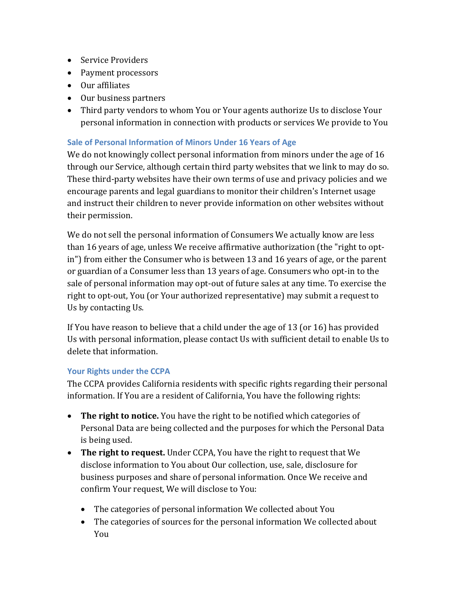- Service Providers
- Payment processors
- Our affiliates
- Our business partners
- Third party vendors to whom You or Your agents authorize Us to disclose Your personal information in connection with products or services We provide to You

## **Sale of Personal Information of Minors Under 16 Years of Age**

We do not knowingly collect personal information from minors under the age of 16 through our Service, although certain third party websites that we link to may do so. These third-party websites have their own terms of use and privacy policies and we encourage parents and legal guardians to monitor their children's Internet usage and instruct their children to never provide information on other websites without their permission.

We do not sell the personal information of Consumers We actually know are less than 16 years of age, unless We receive affirmative authorization (the "right to optin") from either the Consumer who is between 13 and 16 years of age, or the parent or guardian of a Consumer less than 13 years of age. Consumers who opt-in to the sale of personal information may opt-out of future sales at any time. To exercise the right to opt-out, You (or Your authorized representative) may submit a request to Us by contacting Us.

If You have reason to believe that a child under the age of 13 (or 16) has provided Us with personal information, please contact Us with sufficient detail to enable Us to delete that information.

## **Your Rights under the CCPA**

The CCPA provides California residents with specific rights regarding their personal information. If You are a resident of California, You have the following rights:

- **The right to notice.** You have the right to be notified which categories of Personal Data are being collected and the purposes for which the Personal Data is being used.
- **The right to request.** Under CCPA, You have the right to request that We disclose information to You about Our collection, use, sale, disclosure for business purposes and share of personal information. Once We receive and confirm Your request, We will disclose to You:
	- The categories of personal information We collected about You
	- The categories of sources for the personal information We collected about You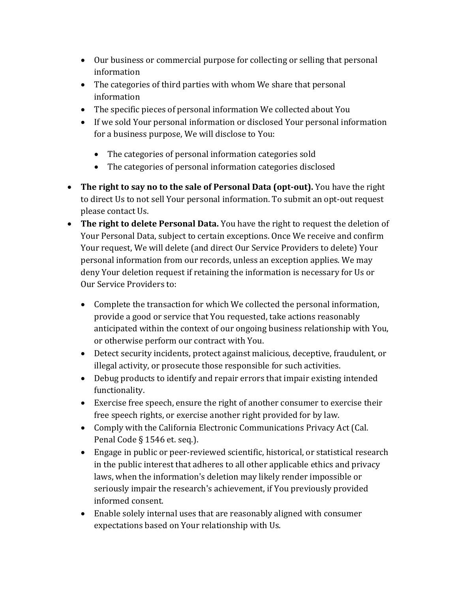- Our business or commercial purpose for collecting or selling that personal information
- The categories of third parties with whom We share that personal information
- The specific pieces of personal information We collected about You
- If we sold Your personal information or disclosed Your personal information for a business purpose, We will disclose to You:
	- The categories of personal information categories sold
	- The categories of personal information categories disclosed
- **The right to say no to the sale of Personal Data (opt-out).** You have the right to direct Us to not sell Your personal information. To submit an opt-out request please contact Us.
- **The right to delete Personal Data.** You have the right to request the deletion of Your Personal Data, subject to certain exceptions. Once We receive and confirm Your request, We will delete (and direct Our Service Providers to delete) Your personal information from our records, unless an exception applies. We may deny Your deletion request if retaining the information is necessary for Us or Our Service Providers to:
	- Complete the transaction for which We collected the personal information, provide a good or service that You requested, take actions reasonably anticipated within the context of our ongoing business relationship with You, or otherwise perform our contract with You.
	- Detect security incidents, protect against malicious, deceptive, fraudulent, or illegal activity, or prosecute those responsible for such activities.
	- Debug products to identify and repair errors that impair existing intended functionality.
	- Exercise free speech, ensure the right of another consumer to exercise their free speech rights, or exercise another right provided for by law.
	- Comply with the California Electronic Communications Privacy Act (Cal. Penal Code § 1546 et. seq.).
	- Engage in public or peer-reviewed scientific, historical, or statistical research in the public interest that adheres to all other applicable ethics and privacy laws, when the information's deletion may likely render impossible or seriously impair the research's achievement, if You previously provided informed consent.
	- Enable solely internal uses that are reasonably aligned with consumer expectations based on Your relationship with Us.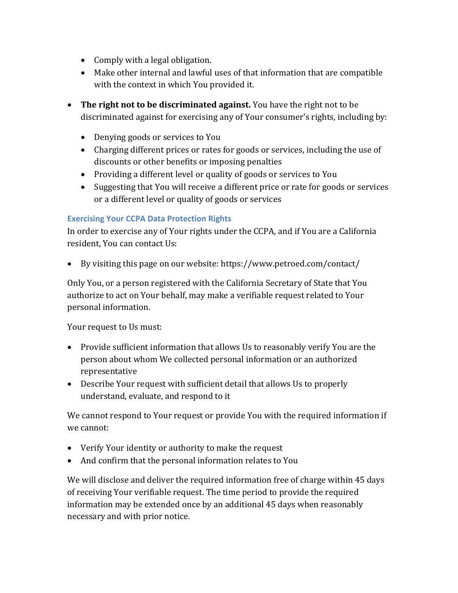- Comply with a legal obligation.
- Make other internal and lawful uses of that information that are compatible with the context in which You provided it.
- **The right not to be discriminated against.** You have the right not to be discriminated against for exercising any of Your consumer's rights, including by:
	- Denying goods or services to You
	- Charging different prices or rates for goods or services, including the use of discounts or other benefits or imposing penalties
	- Providing a different level or quality of goods or services to You
	- Suggesting that You will receive a different price or rate for goods or services or a different level or quality of goods or services

# **Exercising Your CCPA Data Protection Rights**

In order to exercise any of Your rights under the CCPA, and if You are a California resident, You can contact Us:

• By visiting this page on our website:<https://www.petroed.com/contact/>

Only You, or a person registered with the California Secretary of State that You authorize to act on Your behalf, may make a verifiable request related to Your personal information.

Your request to Us must:

- Provide sufficient information that allows Us to reasonably verify You are the person about whom We collected personal information or an authorized representative
- Describe Your request with sufficient detail that allows Us to properly understand, evaluate, and respond to it

We cannot respond to Your request or provide You with the required information if we cannot:

- Verify Your identity or authority to make the request
- And confirm that the personal information relates to You

We will disclose and deliver the required information free of charge within 45 days of receiving Your verifiable request. The time period to provide the required information may be extended once by an additional 45 days when reasonably necessary and with prior notice.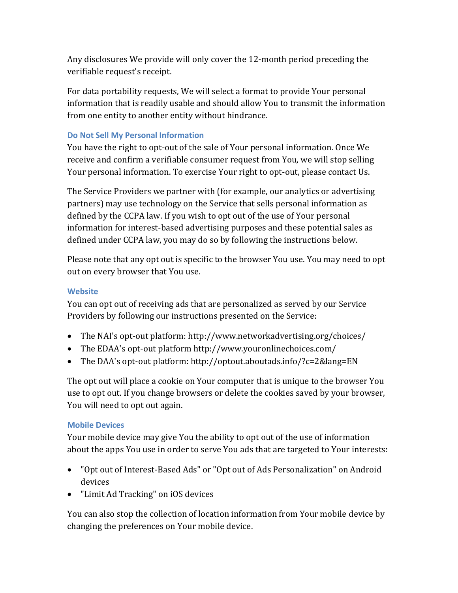Any disclosures We provide will only cover the 12-month period preceding the verifiable request's receipt.

For data portability requests, We will select a format to provide Your personal information that is readily usable and should allow You to transmit the information from one entity to another entity without hindrance.

## **Do Not Sell My Personal Information**

You have the right to opt-out of the sale of Your personal information. Once We receive and confirm a verifiable consumer request from You, we will stop selling Your personal information. To exercise Your right to opt-out, please contact Us.

The Service Providers we partner with (for example, our analytics or advertising partners) may use technology on the Service that sells personal information as defined by the CCPA law. If you wish to opt out of the use of Your personal information for interest-based advertising purposes and these potential sales as defined under CCPA law, you may do so by following the instructions below.

Please note that any opt out is specific to the browser You use. You may need to opt out on every browser that You use.

#### **Website**

You can opt out of receiving ads that are personalized as served by our Service Providers by following our instructions presented on the Service:

- The NAI's opt-out platform: http://www.networkadvertising.org/choices/
- The EDAA's opt-out platform http://www.youronlinechoices.com/
- The DAA's opt-out platform: http://optout.aboutads.info/?c=2&lang=EN

The opt out will place a cookie on Your computer that is unique to the browser You use to opt out. If you change browsers or delete the cookies saved by your browser, You will need to opt out again.

## **Mobile Devices**

Your mobile device may give You the ability to opt out of the use of information about the apps You use in order to serve You ads that are targeted to Your interests:

- "Opt out of Interest-Based Ads" or "Opt out of Ads Personalization" on Android devices
- "Limit Ad Tracking" on iOS devices

You can also stop the collection of location information from Your mobile device by changing the preferences on Your mobile device.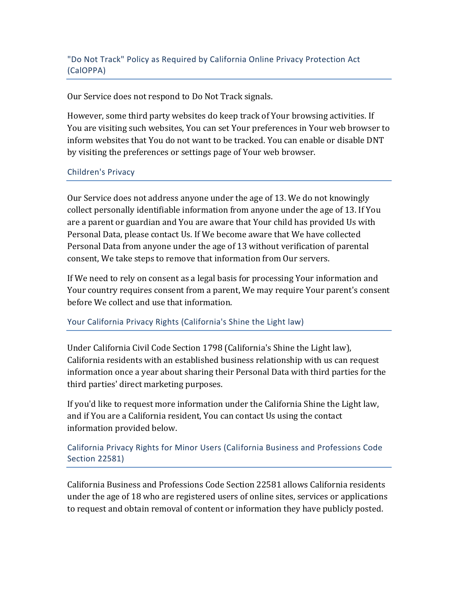# "Do Not Track" Policy as Required by California Online Privacy Protection Act (CalOPPA)

Our Service does not respond to Do Not Track signals.

However, some third party websites do keep track of Your browsing activities. If You are visiting such websites, You can set Your preferences in Your web browser to inform websites that You do not want to be tracked. You can enable or disable DNT by visiting the preferences or settings page of Your web browser.

## Children's Privacy

Our Service does not address anyone under the age of 13. We do not knowingly collect personally identifiable information from anyone under the age of 13. If You are a parent or guardian and You are aware that Your child has provided Us with Personal Data, please contact Us. If We become aware that We have collected Personal Data from anyone under the age of 13 without verification of parental consent, We take steps to remove that information from Our servers.

If We need to rely on consent as a legal basis for processing Your information and Your country requires consent from a parent, We may require Your parent's consent before We collect and use that information.

# Your California Privacy Rights (California's Shine the Light law)

Under California Civil Code Section 1798 (California's Shine the Light law), California residents with an established business relationship with us can request information once a year about sharing their Personal Data with third parties for the third parties' direct marketing purposes.

If you'd like to request more information under the California Shine the Light law, and if You are a California resident, You can contact Us using the contact information provided below.

# California Privacy Rights for Minor Users (California Business and Professions Code Section 22581)

California Business and Professions Code Section 22581 allows California residents under the age of 18 who are registered users of online sites, services or applications to request and obtain removal of content or information they have publicly posted.